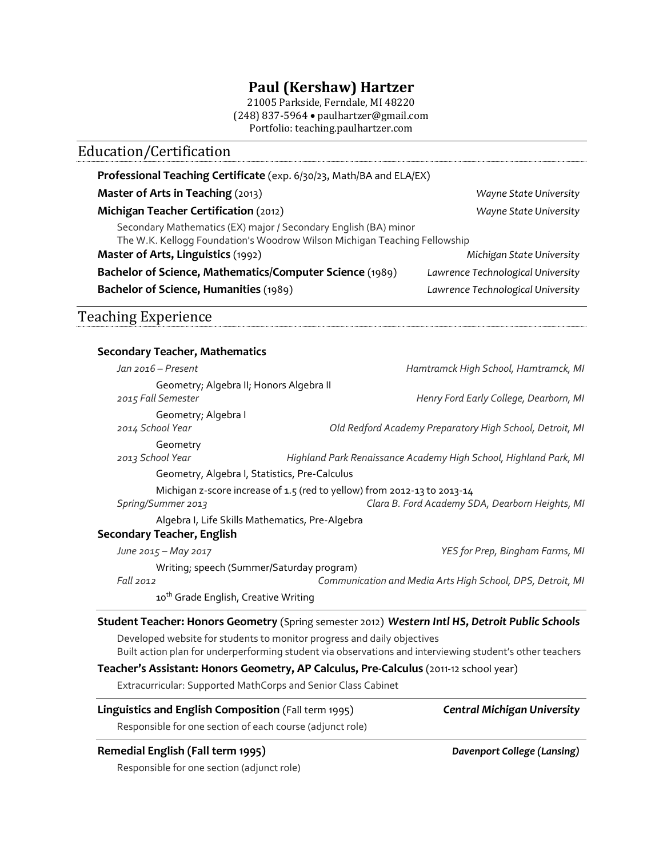## **Paul (Kershaw) Hartzer**

21005 Parkside, Ferndale, MI 48220 (248) 837-5964 • paulhartzer@gmail.com Portfolio: teaching.paulhartzer.com

# Education/Certification **Professional Teaching Certificate** (exp. 6/30/23, Math/BA and ELA/EX) **Master of Arts in Teaching** (2013) *Wayne State University* **Michigan Teacher Certification** (2012) *Wayne State University* Secondary Mathematics (EX) major / Secondary English (BA) minor The W.K. Kellogg Foundation's Woodrow Wilson Michigan Teaching Fellowship **Master of Arts, Linguistics** (1992) *Michigan State University* **Bachelor of Science, Mathematics/Computer Science** (1989) *Lawrence Technological University* **Bachelor of Science, Humanities** (1989) *Lawrence Technological University* Teaching Experience **Secondary Teacher, Mathematics** *Jan 2016 – Present Hamtramck High School, Hamtramck, MI* Geometry; Algebra II; Honors Algebra II *2015 Fall Semester Henry Ford Early College, Dearborn, MI* Geometry; Algebra I *2014 School Year Old Redford Academy Preparatory High School, Detroit, MI* Geometry *2013 School Year Highland Park Renaissance Academy High School, Highland Park, MI* Geometry, Algebra I, Statistics, Pre-Calculus Michigan z-score increase 0f 1.5 (red to yellow) from 2012-13 to 2013-14 *Spring/Summer 2013 Clara B. Ford Academy SDA, Dearborn Heights, MI* Algebra I, Life Skills Mathematics, Pre-Algebra **Secondary Teacher, English** *June 2015 – May 2017 YES for Prep, Bingham Farms, MI* Writing; speech (Summer/Saturday program) *Fall 2012 Communication and Media Arts High School, DPS, Detroit, MI* 10<sup>th</sup> Grade English, Creative Writing **Student Teacher: Honors Geometry** (Spring semester 2012) *Western Intl HS, Detroit Public Schools* Developed website for students to monitor progress and daily objectives Built action plan for underperforming student via observations and interviewing student's other teachers **Teacher's Assistant: Honors Geometry, AP Calculus, Pre-Calculus** (2011-12 school year) Extracurricular: Supported MathCorps and Senior Class Cabinet **Linguistics and English Composition** (Fall term 1995) *Central Michigan University*

Responsible for one section of each course (adjunct role)

### **Remedial English (Fall term 1995)** *Davenport College (Lansing)*

Responsible for one section (adjunct role)